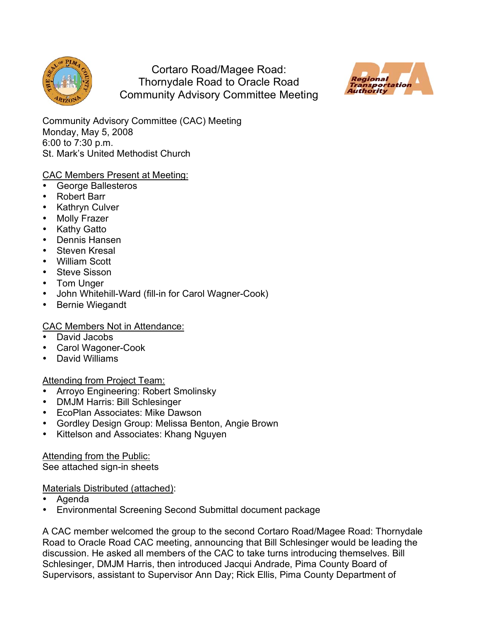

Cortaro Road/Magee Road: Thornydale Road to Oracle Road Community Advisory Committee Meeting



Community Advisory Committee (CAC) Meeting Monday, May 5, 2008 6:00 to 7:30 p.m. St. Mark's United Methodist Church

# CAC Members Present at Meeting:

- George Ballesteros
- Robert Barr
- Kathryn Culver
- **Molly Frazer**
- Kathy Gatto
- Dennis Hansen
- Steven Kresal
- William Scott
- Steve Sisson
- Tom Unger
- John Whitehill-Ward (fill-in for Carol Wagner-Cook)
- Bernie Wiegandt

# CAC Members Not in Attendance:

- David Jacobs
- Carol Wagoner-Cook
- David Williams

# Attending from Project Team:

- Arroyo Engineering: Robert Smolinsky
- DMJM Harris: Bill Schlesinger
- EcoPlan Associates: Mike Dawson
- Gordley Design Group: Melissa Benton, Angie Brown
- Kittelson and Associates: Khang Nguyen

Attending from the Public:

See attached sign-in sheets

## Materials Distributed (attached):

- Agenda
- Environmental Screening Second Submittal document package

A CAC member welcomed the group to the second Cortaro Road/Magee Road: Thornydale Road to Oracle Road CAC meeting, announcing that Bill Schlesinger would be leading the discussion. He asked all members of the CAC to take turns introducing themselves. Bill Schlesinger, DMJM Harris, then introduced Jacqui Andrade, Pima County Board of Supervisors, assistant to Supervisor Ann Day; Rick Ellis, Pima County Department of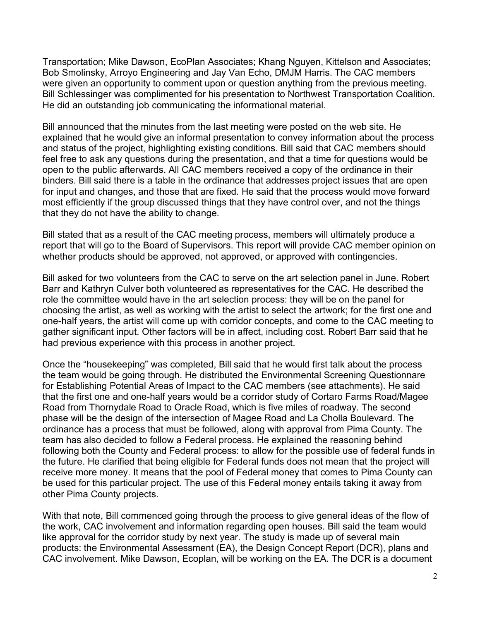Transportation; Mike Dawson, EcoPlan Associates; Khang Nguyen, Kittelson and Associates; Bob Smolinsky, Arroyo Engineering and Jay Van Echo, DMJM Harris. The CAC members were given an opportunity to comment upon or question anything from the previous meeting. Bill Schlessinger was complimented for his presentation to Northwest Transportation Coalition. He did an outstanding job communicating the informational material.

Bill announced that the minutes from the last meeting were posted on the web site. He explained that he would give an informal presentation to convey information about the process and status of the project, highlighting existing conditions. Bill said that CAC members should feel free to ask any questions during the presentation, and that a time for questions would be open to the public afterwards. All CAC members received a copy of the ordinance in their binders. Bill said there is a table in the ordinance that addresses project issues that are open for input and changes, and those that are fixed. He said that the process would move forward most efficiently if the group discussed things that they have control over, and not the things that they do not have the ability to change.

Bill stated that as a result of the CAC meeting process, members will ultimately produce a report that will go to the Board of Supervisors. This report will provide CAC member opinion on whether products should be approved, not approved, or approved with contingencies.

Bill asked for two volunteers from the CAC to serve on the art selection panel in June. Robert Barr and Kathryn Culver both volunteered as representatives for the CAC. He described the role the committee would have in the art selection process: they will be on the panel for choosing the artist, as well as working with the artist to select the artwork; for the first one and one-half years, the artist will come up with corridor concepts, and come to the CAC meeting to gather significant input. Other factors will be in affect, including cost. Robert Barr said that he had previous experience with this process in another project.

Once the "housekeeping" was completed, Bill said that he would first talk about the process the team would be going through. He distributed the Environmental Screening Questionnare for Establishing Potential Areas of Impact to the CAC members (see attachments). He said that the first one and one-half years would be a corridor study of Cortaro Farms Road/Magee Road from Thornydale Road to Oracle Road, which is five miles of roadway. The second phase will be the design of the intersection of Magee Road and La Cholla Boulevard. The ordinance has a process that must be followed, along with approval from Pima County. The team has also decided to follow a Federal process. He explained the reasoning behind following both the County and Federal process: to allow for the possible use of federal funds in the future. He clarified that being eligible for Federal funds does not mean that the project will receive more money. It means that the pool of Federal money that comes to Pima County can be used for this particular project. The use of this Federal money entails taking it away from other Pima County projects.

With that note, Bill commenced going through the process to give general ideas of the flow of the work, CAC involvement and information regarding open houses. Bill said the team would like approval for the corridor study by next year. The study is made up of several main products: the Environmental Assessment (EA), the Design Concept Report (DCR), plans and CAC involvement. Mike Dawson, Ecoplan, will be working on the EA. The DCR is a document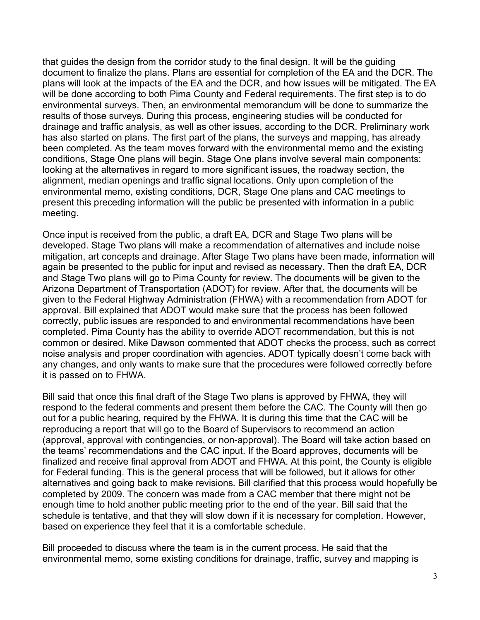that guides the design from the corridor study to the final design. It will be the guiding document to finalize the plans. Plans are essential for completion of the EA and the DCR. The plans will look at the impacts of the EA and the DCR, and how issues will be mitigated. The EA will be done according to both Pima County and Federal requirements. The first step is to do environmental surveys. Then, an environmental memorandum will be done to summarize the results of those surveys. During this process, engineering studies will be conducted for drainage and traffic analysis, as well as other issues, according to the DCR. Preliminary work has also started on plans. The first part of the plans, the surveys and mapping, has already been completed. As the team moves forward with the environmental memo and the existing conditions, Stage One plans will begin. Stage One plans involve several main components: looking at the alternatives in regard to more significant issues, the roadway section, the alignment, median openings and traffic signal locations. Only upon completion of the environmental memo, existing conditions, DCR, Stage One plans and CAC meetings to present this preceding information will the public be presented with information in a public meeting.

Once input is received from the public, a draft EA, DCR and Stage Two plans will be developed. Stage Two plans will make a recommendation of alternatives and include noise mitigation, art concepts and drainage. After Stage Two plans have been made, information will again be presented to the public for input and revised as necessary. Then the draft EA, DCR and Stage Two plans will go to Pima County for review. The documents will be given to the Arizona Department of Transportation (ADOT) for review. After that, the documents will be given to the Federal Highway Administration (FHWA) with a recommendation from ADOT for approval. Bill explained that ADOT would make sure that the process has been followed correctly, public issues are responded to and environmental recommendations have been completed. Pima County has the ability to override ADOT recommendation, but this is not common or desired. Mike Dawson commented that ADOT checks the process, such as correct noise analysis and proper coordination with agencies. ADOT typically doesn't come back with any changes, and only wants to make sure that the procedures were followed correctly before it is passed on to FHWA.

Bill said that once this final draft of the Stage Two plans is approved by FHWA, they will respond to the federal comments and present them before the CAC. The County will then go out for a public hearing, required by the FHWA. It is during this time that the CAC will be reproducing a report that will go to the Board of Supervisors to recommend an action (approval, approval with contingencies, or non-approval). The Board will take action based on the teams' recommendations and the CAC input. If the Board approves, documents will be finalized and receive final approval from ADOT and FHWA. At this point, the County is eligible for Federal funding. This is the general process that will be followed, but it allows for other alternatives and going back to make revisions. Bill clarified that this process would hopefully be completed by 2009. The concern was made from a CAC member that there might not be enough time to hold another public meeting prior to the end of the year. Bill said that the schedule is tentative, and that they will slow down if it is necessary for completion. However, based on experience they feel that it is a comfortable schedule.

Bill proceeded to discuss where the team is in the current process. He said that the environmental memo, some existing conditions for drainage, traffic, survey and mapping is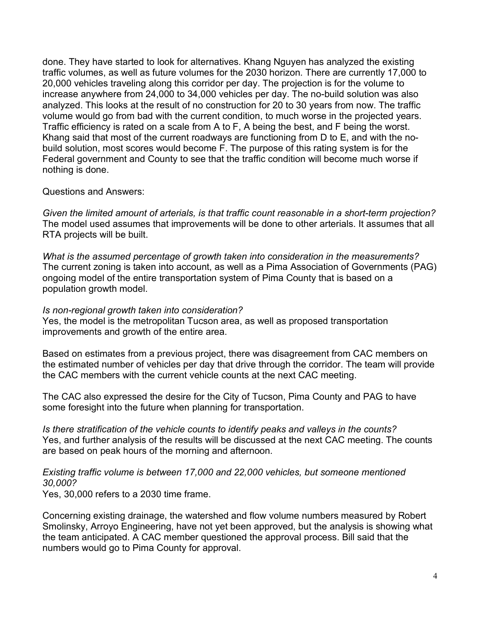done. They have started to look for alternatives. Khang Nguyen has analyzed the existing traffic volumes, as well as future volumes for the 2030 horizon. There are currently 17,000 to 20,000 vehicles traveling along this corridor per day. The projection is for the volume to increase anywhere from 24,000 to 34,000 vehicles per day. The no-build solution was also analyzed. This looks at the result of no construction for 20 to 30 years from now. The traffic volume would go from bad with the current condition, to much worse in the projected years. Traffic efficiency is rated on a scale from A to F, A being the best, and F being the worst. Khang said that most of the current roadways are functioning from D to E, and with the nobuild solution, most scores would become F. The purpose of this rating system is for the Federal government and County to see that the traffic condition will become much worse if nothing is done.

## Questions and Answers:

*Given the limited amount of arterials, is that traffic count reasonable in a short-term projection?* The model used assumes that improvements will be done to other arterials. It assumes that all RTA projects will be built.

*What is the assumed percentage of growth taken into consideration in the measurements?* The current zoning is taken into account, as well as a Pima Association of Governments (PAG) ongoing model of the entire transportation system of Pima County that is based on a population growth model.

#### *Is non-regional growth taken into consideration?*

Yes, the model is the metropolitan Tucson area, as well as proposed transportation improvements and growth of the entire area.

Based on estimates from a previous project, there was disagreement from CAC members on the estimated number of vehicles per day that drive through the corridor. The team will provide the CAC members with the current vehicle counts at the next CAC meeting.

The CAC also expressed the desire for the City of Tucson, Pima County and PAG to have some foresight into the future when planning for transportation.

*Is there stratification of the vehicle counts to identify peaks and valleys in the counts?* Yes, and further analysis of the results will be discussed at the next CAC meeting. The counts are based on peak hours of the morning and afternoon.

## *Existing traffic volume is between 17,000 and 22,000 vehicles, but someone mentioned 30,000?*

Yes, 30,000 refers to a 2030 time frame.

Concerning existing drainage, the watershed and flow volume numbers measured by Robert Smolinsky, Arroyo Engineering, have not yet been approved, but the analysis is showing what the team anticipated. A CAC member questioned the approval process. Bill said that the numbers would go to Pima County for approval.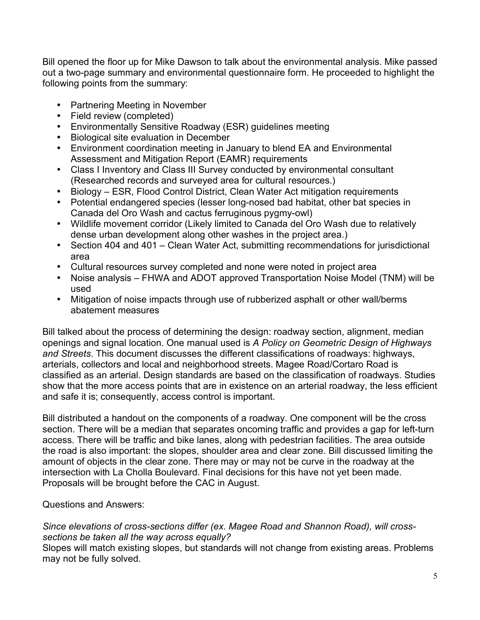Bill opened the floor up for Mike Dawson to talk about the environmental analysis. Mike passed out a two-page summary and environmental questionnaire form. He proceeded to highlight the following points from the summary:

- Partnering Meeting in November
- Field review (completed)
- Environmentally Sensitive Roadway (ESR) guidelines meeting
- Biological site evaluation in December
- Environment coordination meeting in January to blend EA and Environmental Assessment and Mitigation Report (EAMR) requirements
- Class I Inventory and Class III Survey conducted by environmental consultant (Researched records and surveyed area for cultural resources.)
- Biology ESR, Flood Control District, Clean Water Act mitigation requirements
- Potential endangered species (lesser long-nosed bad habitat, other bat species in Canada del Oro Wash and cactus ferruginous pygmy-owl)
- Wildlife movement corridor (Likely limited to Canada del Oro Wash due to relatively dense urban development along other washes in the project area.)
- Section 404 and 401 Clean Water Act, submitting recommendations for jurisdictional area
- Cultural resources survey completed and none were noted in project area
- Noise analysis FHWA and ADOT approved Transportation Noise Model (TNM) will be used
- Mitigation of noise impacts through use of rubberized asphalt or other wall/berms abatement measures

Bill talked about the process of determining the design: roadway section, alignment, median openings and signal location. One manual used is *A Policy on Geometric Design of Highways and Streets*. This document discusses the different classifications of roadways: highways, arterials, collectors and local and neighborhood streets. Magee Road/Cortaro Road is classified as an arterial. Design standards are based on the classification of roadways. Studies show that the more access points that are in existence on an arterial roadway, the less efficient and safe it is; consequently, access control is important.

Bill distributed a handout on the components of a roadway. One component will be the cross section. There will be a median that separates oncoming traffic and provides a gap for left-turn access. There will be traffic and bike lanes, along with pedestrian facilities. The area outside the road is also important: the slopes, shoulder area and clear zone. Bill discussed limiting the amount of objects in the clear zone. There may or may not be curve in the roadway at the intersection with La Cholla Boulevard. Final decisions for this have not yet been made. Proposals will be brought before the CAC in August.

Questions and Answers:

*Since elevations of cross-sections differ (ex. Magee Road and Shannon Road), will crosssections be taken all the way across equally?*

Slopes will match existing slopes, but standards will not change from existing areas. Problems may not be fully solved.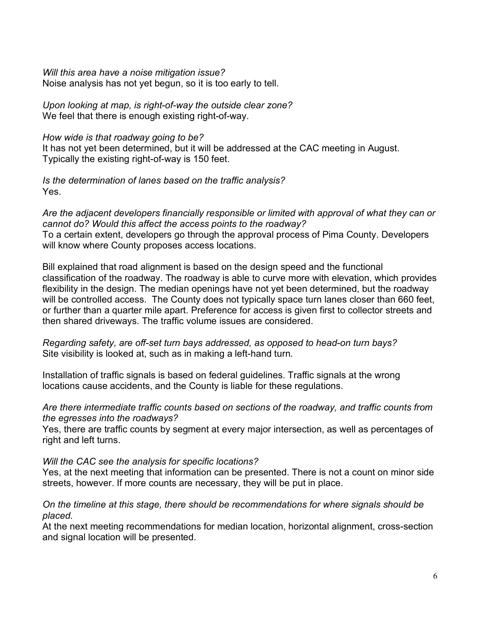*Will this area have a noise mitigation issue?* Noise analysis has not yet begun, so it is too early to tell.

*Upon looking at map, is right-of-way the outside clear zone?* We feel that there is enough existing right-of-way.

## *How wide is that roadway going to be?*

It has not yet been determined, but it will be addressed at the CAC meeting in August. Typically the existing right-of-way is 150 feet.

*Is the determination of lanes based on the traffic analysis?* Yes.

*Are the adjacent developers financially responsible or limited with approval of what they can or cannot do? Would this affect the access points to the roadway?* To a certain extent, developers go through the approval process of Pima County. Developers will know where County proposes access locations.

Bill explained that road alignment is based on the design speed and the functional classification of the roadway. The roadway is able to curve more with elevation, which provides flexibility in the design. The median openings have not yet been determined, but the roadway will be controlled access. The County does not typically space turn lanes closer than 660 feet, or further than a quarter mile apart. Preference for access is given first to collector streets and then shared driveways. The traffic volume issues are considered.

*Regarding safety, are off-set turn bays addressed, as opposed to head-on turn bays?* Site visibility is looked at, such as in making a left-hand turn.

Installation of traffic signals is based on federal guidelines. Traffic signals at the wrong locations cause accidents, and the County is liable for these regulations.

*Are there intermediate traffic counts based on sections of the roadway, and traffic counts from the egresses into the roadways?*

Yes, there are traffic counts by segment at every major intersection, as well as percentages of right and left turns.

# *Will the CAC see the analysis for specific locations?*

Yes, at the next meeting that information can be presented. There is not a count on minor side streets, however. If more counts are necessary, they will be put in place.

## *On the timeline at this stage, there should be recommendations for where signals should be placed.*

At the next meeting recommendations for median location, horizontal alignment, cross-section and signal location will be presented.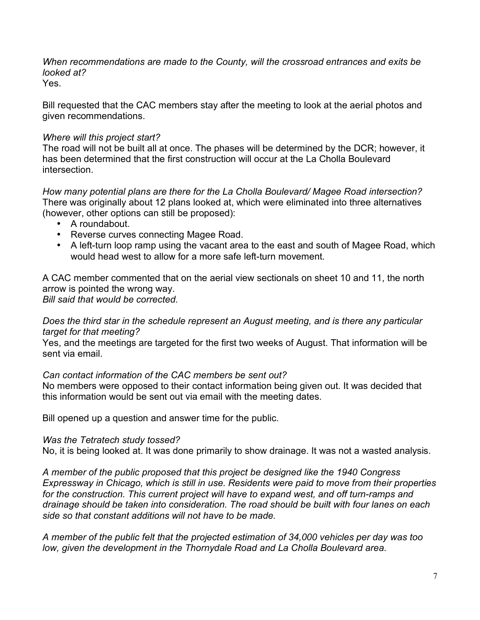*When recommendations are made to the County, will the crossroad entrances and exits be looked at?*

Yes.

Bill requested that the CAC members stay after the meeting to look at the aerial photos and given recommendations.

## *Where will this project start?*

The road will not be built all at once. The phases will be determined by the DCR; however, it has been determined that the first construction will occur at the La Cholla Boulevard intersection.

*How many potential plans are there for the La Cholla Boulevard/ Magee Road intersection?* There was originally about 12 plans looked at, which were eliminated into three alternatives (however, other options can still be proposed):

- A roundabout.
- Reverse curves connecting Magee Road.
- A left-turn loop ramp using the vacant area to the east and south of Magee Road, which would head west to allow for a more safe left-turn movement.

A CAC member commented that on the aerial view sectionals on sheet 10 and 11, the north arrow is pointed the wrong way.

*Bill said that would be corrected.*

## *Does the third star in the schedule represent an August meeting, and is there any particular target for that meeting?*

Yes, and the meetings are targeted for the first two weeks of August. That information will be sent via email.

# *Can contact information of the CAC members be sent out?*

No members were opposed to their contact information being given out. It was decided that this information would be sent out via email with the meeting dates.

Bill opened up a question and answer time for the public.

## *Was the Tetratech study tossed?*

No, it is being looked at. It was done primarily to show drainage. It was not a wasted analysis.

*A member of the public proposed that this project be designed like the 1940 Congress Expressway in Chicago, which is still in use. Residents were paid to move from their properties for the construction. This current project will have to expand west, and off turn-ramps and drainage should be taken into consideration. The road should be built with four lanes on each side so that constant additions will not have to be made.*

*A member of the public felt that the projected estimation of 34,000 vehicles per day was too low, given the development in the Thornydale Road and La Cholla Boulevard area.*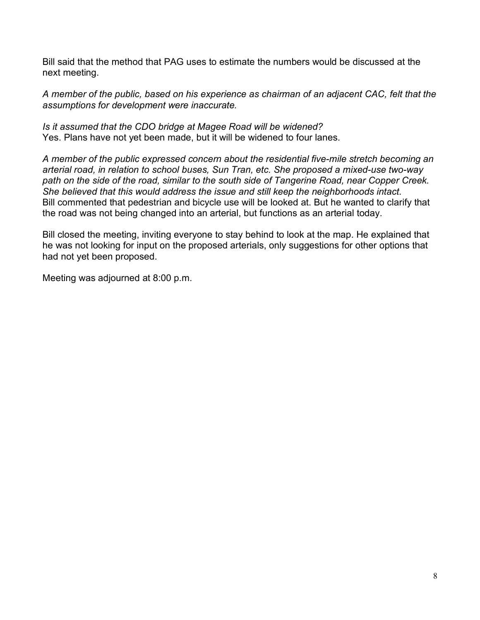Bill said that the method that PAG uses to estimate the numbers would be discussed at the next meeting.

*A member of the public, based on his experience as chairman of an adjacent CAC, felt that the assumptions for development were inaccurate.*

*Is it assumed that the CDO bridge at Magee Road will be widened?* Yes. Plans have not yet been made, but it will be widened to four lanes.

*A member of the public expressed concern about the residential five-mile stretch becoming an arterial road, in relation to school buses, Sun Tran, etc. She proposed a mixed-use two-way path on the side of the road, similar to the south side of Tangerine Road, near Copper Creek. She believed that this would address the issue and still keep the neighborhoods intact.* Bill commented that pedestrian and bicycle use will be looked at. But he wanted to clarify that the road was not being changed into an arterial, but functions as an arterial today.

Bill closed the meeting, inviting everyone to stay behind to look at the map. He explained that he was not looking for input on the proposed arterials, only suggestions for other options that had not yet been proposed.

Meeting was adjourned at 8:00 p.m.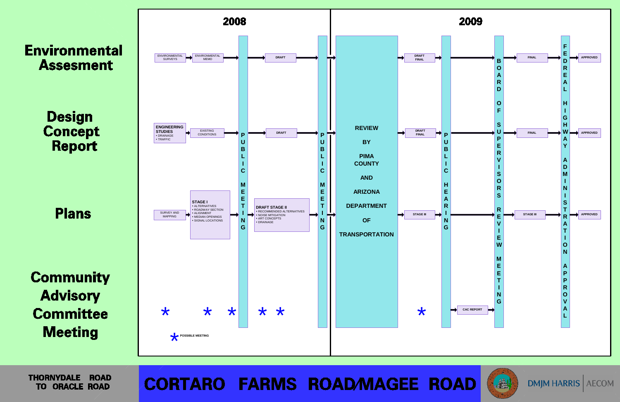

**THORNYDALE ROAD TO ORACLE ROAD** 

**CORTARO FARMS ROAD/MAGEE ROAD** 







**DMIM HARRIS AECOM**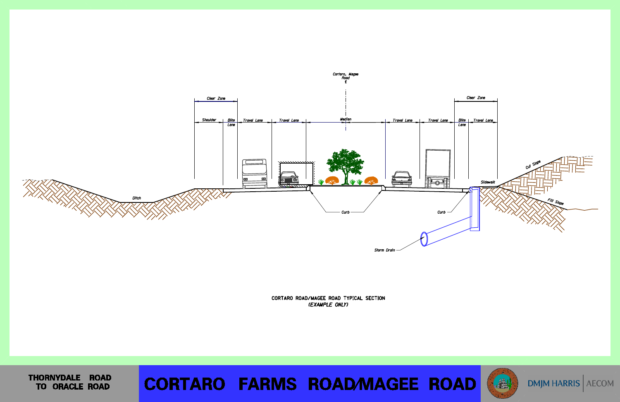

CORTARO ROAD/MAGEE ROAD TYPICAL SECTION (EXAMPLE ONLY)

THORNYDALE ROAD TO ORACLE ROAD

# **CORTARO FARMS ROAD/MAGEE ROAD**





DMJM HARRIS AECOM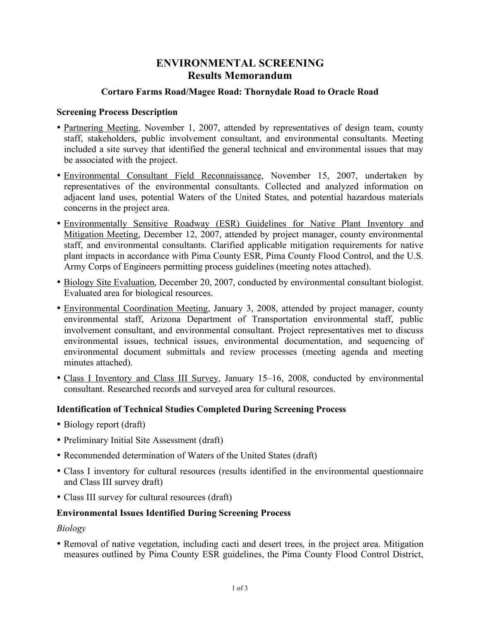# **ENVIRONMENTAL SCREENING Results Memorandum**

## **Cortaro Farms Road/Magee Road: Thornydale Road to Oracle Road**

#### **Screening Process Description**

- Partnering Meeting, November 1, 2007, attended by representatives of design team, county staff, stakeholders, public involvement consultant, and environmental consultants. Meeting included a site survey that identified the general technical and environmental issues that may be associated with the project.
- Environmental Consultant Field Reconnaissance, November 15, 2007, undertaken by representatives of the environmental consultants. Collected and analyzed information on adjacent land uses, potential Waters of the United States, and potential hazardous materials concerns in the project area.
- Environmentally Sensitive Roadway (ESR) Guidelines for Native Plant Inventory and Mitigation Meeting, December 12, 2007, attended by project manager, county environmental staff, and environmental consultants. Clarified applicable mitigation requirements for native plant impacts in accordance with Pima County ESR, Pima County Flood Control, and the U.S. Army Corps of Engineers permitting process guidelines (meeting notes attached).
- Biology Site Evaluation, December 20, 2007, conducted by environmental consultant biologist. Evaluated area for biological resources.
- Environmental Coordination Meeting, January 3, 2008, attended by project manager, county environmental staff, Arizona Department of Transportation environmental staff, public involvement consultant, and environmental consultant. Project representatives met to discuss environmental issues, technical issues, environmental documentation, and sequencing of environmental document submittals and review processes (meeting agenda and meeting minutes attached).
- Class I Inventory and Class III Survey, January 15–16, 2008, conducted by environmental consultant. Researched records and surveyed area for cultural resources.

## **Identification of Technical Studies Completed During Screening Process**

- Biology report (draft)
- Preliminary Initial Site Assessment (draft)
- Recommended determination of Waters of the United States (draft)
- Class I inventory for cultural resources (results identified in the environmental questionnaire and Class III survey draft)
- Class III survey for cultural resources (draft)

## **Environmental Issues Identified During Screening Process**

*Biology*

• Removal of native vegetation, including cacti and desert trees, in the project area. Mitigation measures outlined by Pima County ESR guidelines, the Pima County Flood Control District,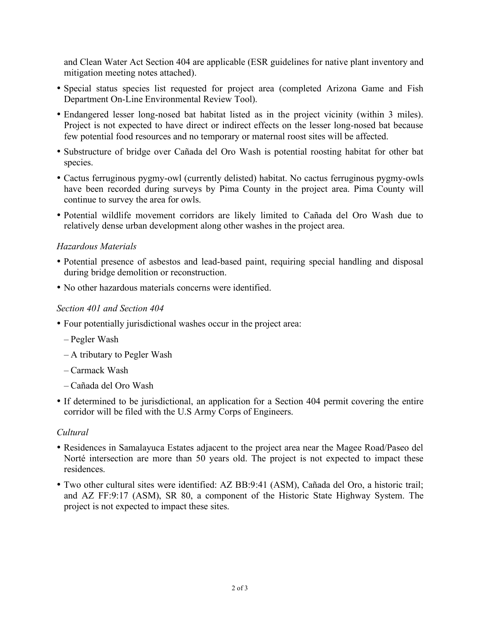and Clean Water Act Section 404 are applicable (ESR guidelines for native plant inventory and mitigation meeting notes attached).

- Special status species list requested for project area (completed Arizona Game and Fish Department On-Line Environmental Review Tool).
- Endangered lesser long-nosed bat habitat listed as in the project vicinity (within 3 miles). Project is not expected to have direct or indirect effects on the lesser long-nosed bat because few potential food resources and no temporary or maternal roost sites will be affected.
- Substructure of bridge over Cañada del Oro Wash is potential roosting habitat for other bat species.
- Cactus ferruginous pygmy-owl (currently delisted) habitat. No cactus ferruginous pygmy-owls have been recorded during surveys by Pima County in the project area. Pima County will continue to survey the area for owls.
- Potential wildlife movement corridors are likely limited to Cañada del Oro Wash due to relatively dense urban development along other washes in the project area.

#### *Hazardous Materials*

- Potential presence of asbestos and lead-based paint, requiring special handling and disposal during bridge demolition or reconstruction.
- No other hazardous materials concerns were identified.

#### *Section 401 and Section 404*

- Four potentially jurisdictional washes occur in the project area:
	- Pegler Wash
	- A tributary to Pegler Wash
	- Carmack Wash
	- Cañada del Oro Wash
- If determined to be jurisdictional, an application for a Section 404 permit covering the entire corridor will be filed with the U.S Army Corps of Engineers.

#### *Cultural*

- Residences in Samalayuca Estates adjacent to the project area near the Magee Road/Paseo del Norté intersection are more than 50 years old. The project is not expected to impact these residences.
- Two other cultural sites were identified: AZ BB:9:41 (ASM), Cañada del Oro, a historic trail; and AZ FF:9:17 (ASM), SR 80, a component of the Historic State Highway System. The project is not expected to impact these sites.